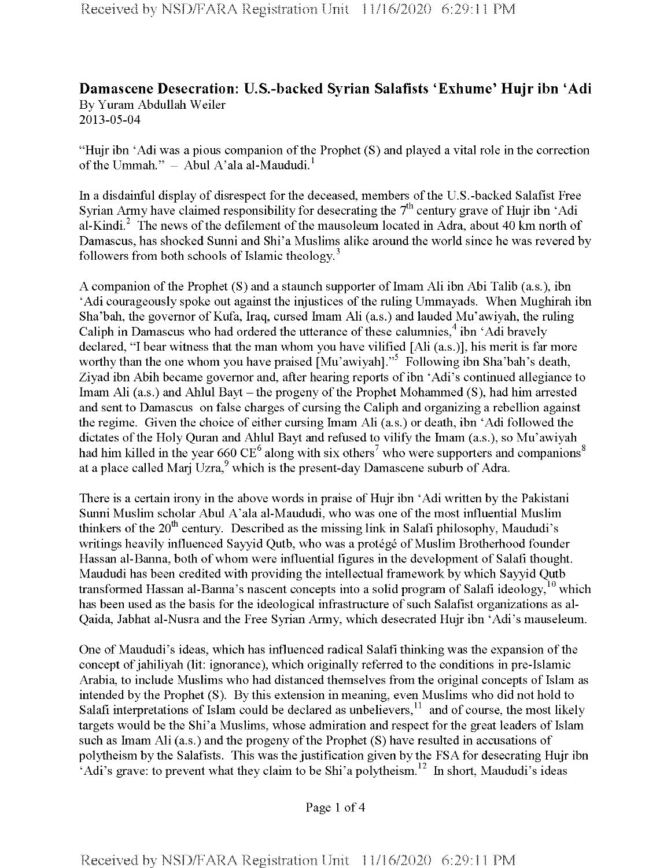## **Damascene Desecration: U.S.-backed Syrian Salafists 'Exhume' Hujr ibn 'Adi** By Yuram Abdullah Weiler 2013-05-04

"Hujr ibn 'Adi was a pious companion of the Prophet (S) and played a vital role in the correction of the Ummah."  $-$  Abul A'ala al-Maududi.<sup>1</sup>

In a disdainful display of disrespect for the deceased, members of the U.S.-backed Salafist Free Syrian Army have claimed responsibility for desecrating the  $7<sup>th</sup>$  century grave of Hujr ibn 'Adi al-Kindi. $^2$  The news of the defilement of the mausoleum located in Adra, about 40 km north of Damascus, has shocked Sunni and Shi'a Muslims alike around the world since he was revered by followers from both schools of Islamic theology. $3$ 

A companion of the Prophet  $(S)$  and a staunch supporter of Imam Ali ibn Abi Talib (a.s.), ibn 'Adi courageously spoke out against the injustices of the ruling Ummayads. When Mughirah ibn Sha'bah, the governor of Kufa, Iraq, cursed Imam Ali (as.) and lauded Mu'awiyah, the ruling Caliph in Damascus who had ordered the utterance of these calumnies,<sup>4</sup> ibn 'Adi bravely declared, "I bear witness that the man whom you have vilified [Ali (as.)], his merit is far more worthy than the one whom you have praised [Mu'awiyah]."<sup>5</sup> Following ibn Sha'bah's death, Ziyad ibn Abih became governor and, after hearing reports of ibn 'Adi's continued allegiance to Imam Ali (a.s.) and Ahlul Bayt – the progeny of the Prophet Mohammed (S), had him arrested and sent to Damascus on false charges of cursing the Caliph and organizing a rebellion against the regime. Given the choice of either cursing Imam Ali (as.) or death, ibn 'Adi followed the dictates of the Holy Quran and Ahlul Bayt and refused to vilify the Imam (a.s.), so Mu'awiyah had him killed in the year 660  $CE^6$  along with six others<sup>7</sup> who were supporters and companions<sup>8</sup> at a place called Mari Uzra, $9$  which is the present-day Damascene suburb of Adra.

There is a certain irony in the above words in praise of Hujr ibn 'Adi written by the Pakistani Sunni Muslim scholar Abul A'ala al-Maududi, who was one of the most influential Muslim thinkers of the 20<sup>th</sup> century. Described as the missing link in Salafi philosophy, Maududi's writings heavily influenced Sayyid Qutb, who was a protégé of Muslim Brotherhood founder Hassan al-Banna, both of whom were influential figures in the development of Salafi thought. Maududi has been credited with providing the intellectual framework by which Sayyid Qutb transformed Hassan al-Banna's nascent concepts into a solid program of Salafi ideology,  $10$  which has been used as the basis for the ideological infrastructure of such Salafist organizations as al-Qaida, Jabhat al-Nusra and the Free Syrian Army, which desecrated Hujr ibn 'Adi's mauseleum.

One of Maududi's ideas, which has influenced radical Salafi thinking was the expansion of the concept of jahiliyah (lit: ignorance), which originally referred to the conditions in pre-Islamic Arabia, to include Muslims who had distanced themselves from the original concepts of Islam as intended by the Prophet (S). By this extension in meaning, even Muslims who did not hold to Salafi interpretations of Islam could be declared as unbelievers, $11$  and of course, the most likely targets would be the Shi'a Muslims, whose admiration and respect for the great leaders of Islam such as Imam Ali  $(a.s.)$  and the progeny of the Prophet  $(S)$  have resulted in accusations of polytheism by the Salafists. This was the justification given by the FSA for desecrating Hujr ibn  $Adi's$  grave: to prevent what they claim to be Shi'a polytheism.<sup>12</sup> In short, Maududi's ideas

Page <sup>1</sup> of 4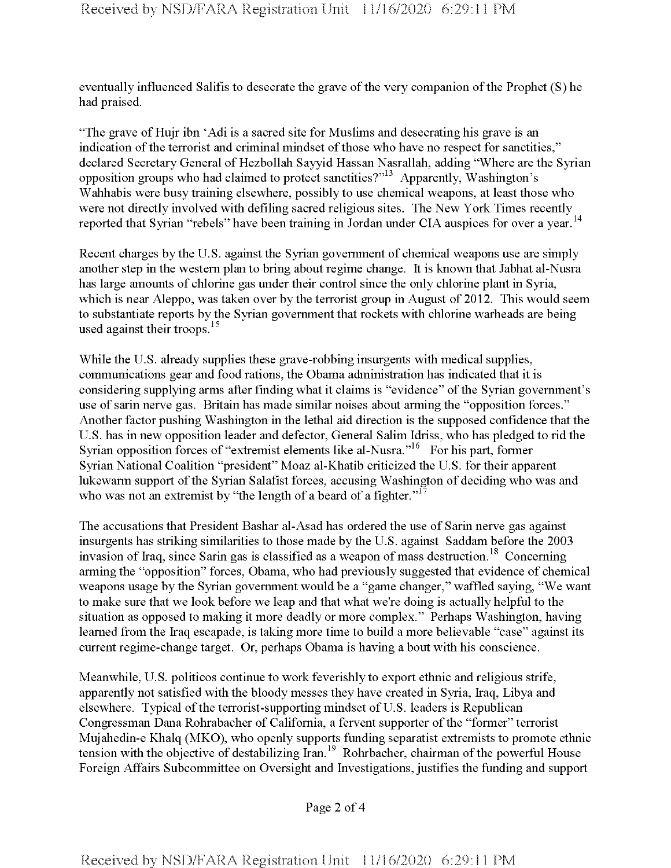eventually influenced Salifis to desecrate the grave of the very companion of the Prophet (S) he had praised.

"The grave of Hujr ibn 'Adi is a sacred site for Muslims and desecrating his grave is an indication of the terrorist and criminal mindset of those who have no respect for sanctities," declared Secretary General of Hezbollah Sayyid Hassan Nasrallah, adding "Where are the Syrian opposition groups who had claimed to protect sanctities?"13 Apparently, Washington's Wahhabis were busy training elsewhere, possibly to use chemical weapons, at least those who were not directly involved with defiling sacred religious sites. The New York Times recently reported that Syrian "rebels" have been training in Jordan under CIA auspices for over a year.<sup>14</sup>

Recent charges by the U.S. against the Syrian government of chemical weapons use are simply another step in the western plan to bring about regime change. It is known that Jabhat al-Nusra has large amounts of chlorine gas under their control since the only chlorine plant in Syria, which is near Aleppo, was taken over by the terrorist group in August of 2012. This would seem to substantiate reports by the Syrian government that rockets with chlorine warheads are being used against their troops. $15$ 

While the U.S. already supplies these grave-robbing insurgents with medical supplies, communications gear and food rations, the Obama administration has indicated that it is considering supplying arms after finding what it claims is "evidence" ofthe Syrian government's use of sarin nerve gas. Britain has made similar noises about arming the "opposition forces." Another factor pushing Washington in the lethal aid direction is the supposed confidence that the U.S. has in new opposition leader and defector, General Salim Idriss, who has pledged to rid the Syrian opposition forces of "extremist elements like al-Nusra."<sup>16</sup> For his part, former Syrian National Coalition "president" Moaz al-Khatib criticized the U.S. for their apparent lukewarm support of the Syrian Salafist forces, accusing Washington of deciding who was and who was not an extremist by "the length of a beard of a fighter." $17$ 

The accusations that President Bashar al-Asad has ordered the use of Sarin nerve gas against insurgents has striking similarities to those made by the U.S. against Saddam before the 2003 invasion of Iraq, since Sarin gas is classified as a weapon of mass destruction.<sup>18</sup> Concerning arming the "opposition" forces, Obama, who had previously suggested that evidence of chemical weapons usage by the Syrian government would be a "game changer," waffled saying, "We want to make sure that we look before we leap and that what we're doing is actually helpful to the situation as opposed to making it more deadly or more complex." Perhaps Washington, having learned from the Iraq escapade, is taking more time to build a more believable "case" against its current regime-change target. Or, perhaps Obama is having a bout with his conscience.

Meanwhile, U.S. politicos continue to work feverishly to export ethnic and religious strife, apparently not satisfied with the bloody messes they have created in Syria, Iraq, Libya and elsewhere. Typical of the terrorist-supporting mindset of U.S. leaders is Republican Congressman Dana Rohrabacher of California, a fervent supporter ofthe "former" terrorist Mujahedin-e Khalq (MKO), who openly supports funding separatist extremists to promote ethnic tension with the objective of destabilizing Iran.<sup>19</sup> Rohrbacher, chairman of the powerful House Foreign Affairs Subcommittee on Oversight and Investigations, justifies the funding and support

Page 2 of 4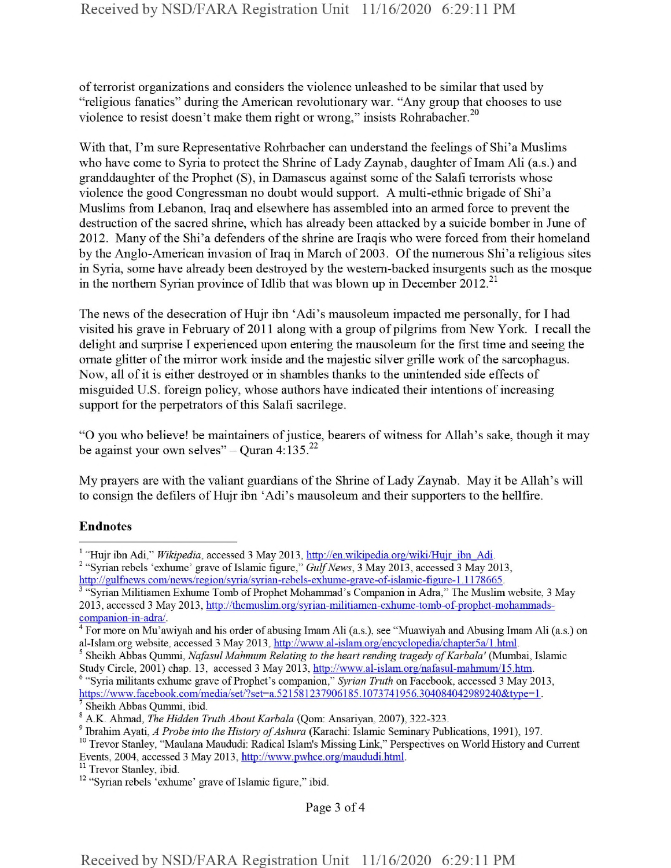of terrorist organizations and considers the violence unleashed to be similar that used by "religious fanatics" during the American revolutionary war. "Any group that chooses to use violence to resist doesn't make them right or wrong," insists Rohrabacher.<sup>20</sup>

With that, I'm sure Representative Rohrbacher can understand the feelings of Shi'a Muslims who have come to Syria to protect the Shrine of Lady Zaynab, daughter of Imam Ali (a.s.) and granddaughter of the Prophet  $(S)$ , in Damascus against some of the Salafi terrorists whose violence the good Congressman no doubt would support. A multi-ethnic brigade of Shi'a Muslims from Lebanon, Iraq and elsewhere has assembled into an armed force to prevent the destruction of the sacred shrine, which has already been attacked by a suicide bomber in June of 2012. Many of the Shi'a defenders of the shrine are Iraqis who were forced from their homeland by the Anglo-American invasion of Iraq in March of 2003. Of the numerous Shi'a religious sites in Syria, some have already been destroyed by the western-backed insurgents such as the mosque in the northern Syrian province of Idlib that was blown up in December 2012.<sup>21</sup>

The news of the desecration of Hujr ibn 'Adi's mausoleum impacted me personally, for I had visited his grave in February of 2011 along with a group of pilgrims from New York. I recall the delight and surprise I experienced upon entering the mausoleum for the first time and seeing the ornate glitter of the mirror work inside and the majestic silver grille work of the sarcophagus. Now, all of it is either destroyed or in shambles thanks to the unintended side effects of misguided U.S. foreign policy, whose authors have indicated their intentions of increasing support for the perpetrators of this Salafi sacrilege.

"O you who believe! be maintainers of justice, bearers of witness for Allah's sake, though it may be against your own selves" - Quran  $4:135.^{22}$ 

My prayers are with the valiant guardians of the Shrine of Lady Zaynab. May it be Allah's will to consign the defilers of Hujr ibn 'Adi's mausoleum and their supporters to the hellfire.

## Endnotes

Page 3 of 4

<sup>&</sup>lt;sup>1</sup> "Hujr ibn Adi," *Wikipedia*, accessed 3 May 2013, http://en.wikipedia.org/wiki/Hujr ibn Adi.

<sup>&</sup>lt;sup>2</sup> "Syrian rebels 'exhume' grave of Islamic figure," *Gulf News*, 3 May 2013, accessed 3 May 2013, http://gulfnews.eom/news/region/svria/svrian-rebels-exhume-grave-of-islamic-figure-l.l 178665.

<sup>&</sup>quot;Syrian Militiamen Exhume Tomb of Prophet Mohammad's Companion in Adra," The Muslim website, 3 May 2013, accessed 3 May 2013, http://themuslim.org/syrian-militiamen-exhume-tomb-of-prophet-mohammadscompanion-in-adra/.

 $4$  For more on Mu'awiyah and his order of abusing Imam Ali (a.s.), see "Muawiyah and Abusing Imam Ali (a.s.) on al-Islam.org website, accessed 3 May 2013, http://www.al-islam.org/encyclopedia/chapter5a/1.html.

<sup>5</sup> Sheikh Abbas Qummi, *NafasulMahmum Relating to the heart rending tragedy ofKarbala'* (Mumbai, Islamic Study Circle, 2001) chap. 13, accessed 3 May 2013, http://www.al-islam.org/nafasul-mahmum/15.htm.

<sup>&</sup>lt;sup>6</sup> "Syria militants exhume grave of Prophet's companion," Syrian Truth on Facebook, accessed 3 May 2013, https://www.facebook.com/media/set/?set=a.521581237906185.1073741956.304084042989240&type=1. <sup>7</sup> Sheikh Abbas Qummi, ibid.

<sup>s</sup> A.K. Ahmad, *The Hidden Truth About Karbala* (Qom: Ansariyan, 2007), 322-323.

<sup>&</sup>lt;sup>9</sup> Ibrahim Ayati, *A Probe into the History of Ashura* (Karachi: Islamic Seminary Publications, 1991), 197.

<sup>&</sup>lt;sup>10</sup> Trevor Stanley, "Maulana Maududi: Radical Islam's Missing Link," Perspectives on World History and Current Events, 2004, accessed 3 May 2013, http://www.pwhce.org/maududi.html.

<sup>&</sup>lt;sup>11</sup> Trevor Stanley, ibid.

<sup>&</sup>lt;sup>12</sup> "Syrian rebels 'exhume' grave of Islamic figure," ibid.